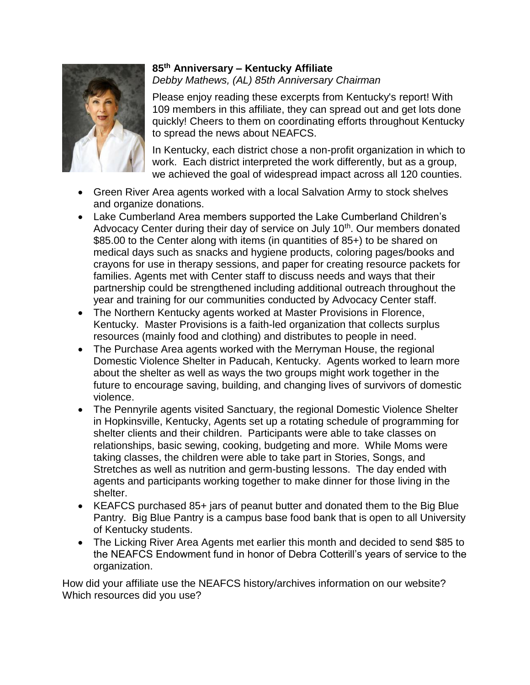

## **85th Anniversary – Kentucky Affiliate**  *Debby Mathews, (AL) 85th Anniversary Chairman*

Please enjoy reading these excerpts from Kentucky's report! With 109 members in this affiliate, they can spread out and get lots done quickly! Cheers to them on coordinating efforts throughout Kentucky to spread the news about NEAFCS.

In Kentucky, each district chose a non-profit organization in which to work. Each district interpreted the work differently, but as a group, we achieved the goal of widespread impact across all 120 counties.

- Green River Area agents worked with a local Salvation Army to stock shelves and organize donations.
- Lake Cumberland Area members supported the Lake Cumberland Children's Advocacy Center during their day of service on July 10<sup>th</sup>. Our members donated \$85.00 to the Center along with items (in quantities of 85+) to be shared on medical days such as snacks and hygiene products, coloring pages/books and crayons for use in therapy sessions, and paper for creating resource packets for families. Agents met with Center staff to discuss needs and ways that their partnership could be strengthened including additional outreach throughout the year and training for our communities conducted by Advocacy Center staff.
- The Northern Kentucky agents worked at Master Provisions in Florence, Kentucky. Master Provisions is a faith-led organization that collects surplus resources (mainly food and clothing) and distributes to people in need.
- The Purchase Area agents worked with the Merryman House, the regional Domestic Violence Shelter in Paducah, Kentucky. Agents worked to learn more about the shelter as well as ways the two groups might work together in the future to encourage saving, building, and changing lives of survivors of domestic violence.
- The Pennyrile agents visited Sanctuary, the regional Domestic Violence Shelter in Hopkinsville, Kentucky, Agents set up a rotating schedule of programming for shelter clients and their children. Participants were able to take classes on relationships, basic sewing, cooking, budgeting and more. While Moms were taking classes, the children were able to take part in Stories, Songs, and Stretches as well as nutrition and germ-busting lessons. The day ended with agents and participants working together to make dinner for those living in the shelter.
- KEAFCS purchased 85+ jars of peanut butter and donated them to the Big Blue Pantry. Big Blue Pantry is a campus base food bank that is open to all University of Kentucky students.
- The Licking River Area Agents met earlier this month and decided to send \$85 to the NEAFCS Endowment fund in honor of Debra Cotterill's years of service to the organization.

How did your affiliate use the NEAFCS history/archives information on our website? Which resources did you use?